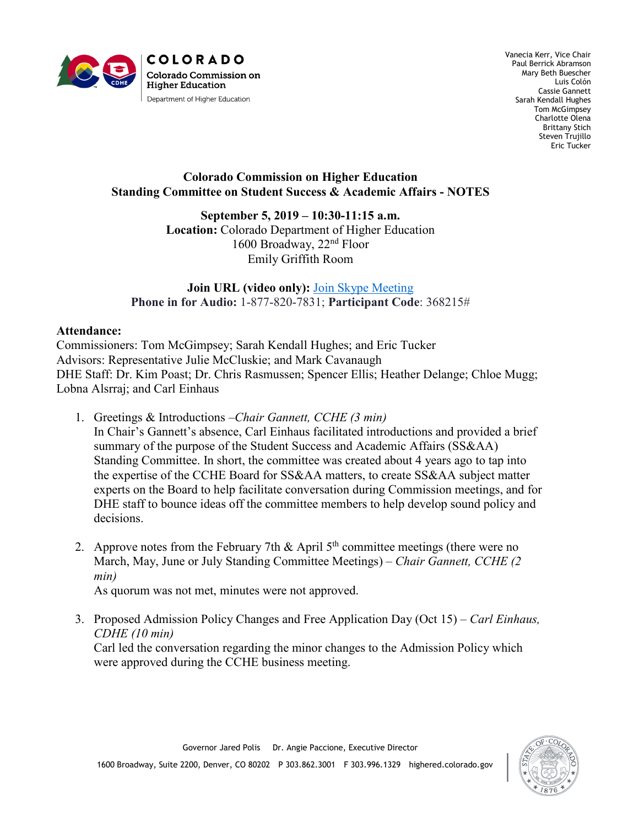

Vanecia Kerr, Vice Chair Paul Berrick Abramson Mary Beth Buescher Luis Colón Cassie Gannett Sarah Kendall Hughes Tom McGimpsey Charlotte Olena Brittany Stich Steven Trujillo Eric Tucker

## **Colorado Commission on Higher Education Standing Committee on Student Success & Academic Affairs - NOTES**

## **September 5, 2019 – 10:30-11:15 a.m.**

**Location:** Colorado Department of Higher Education 1600 Broadway, 22nd Floor Emily Griffith Room

**Join URL (video only):** [Join Skype Meeting](https://meet.lync.com/dhe.state.co.us/ceinhaus/B69G83KZ)  **Phone in for Audio:** 1-877-820-7831; **Participant Code**: 368215#

## **Attendance:**

Commissioners: Tom McGimpsey; Sarah Kendall Hughes; and Eric Tucker Advisors: Representative Julie McCluskie; and Mark Cavanaugh DHE Staff: Dr. Kim Poast; Dr. Chris Rasmussen; Spencer Ellis; Heather Delange; Chloe Mugg; Lobna Alsrraj; and Carl Einhaus

- 1. Greetings & Introductions *–Chair Gannett, CCHE (3 min)* In Chair's Gannett's absence, Carl Einhaus facilitated introductions and provided a brief summary of the purpose of the Student Success and Academic Affairs (SS&AA) Standing Committee. In short, the committee was created about 4 years ago to tap into the expertise of the CCHE Board for SS&AA matters, to create SS&AA subject matter experts on the Board to help facilitate conversation during Commission meetings, and for DHE staff to bounce ideas off the committee members to help develop sound policy and decisions.
- 2. Approve notes from the February 7th  $\&$  April 5<sup>th</sup> committee meetings (there were no March, May, June or July Standing Committee Meetings) – *Chair Gannett, CCHE (2 min)*

As quorum was not met, minutes were not approved.

3. Proposed Admission Policy Changes and Free Application Day (Oct 15) – *Carl Einhaus, CDHE (10 min)* Carl led the conversation regarding the minor changes to the Admission Policy which were approved during the CCHE business meeting.